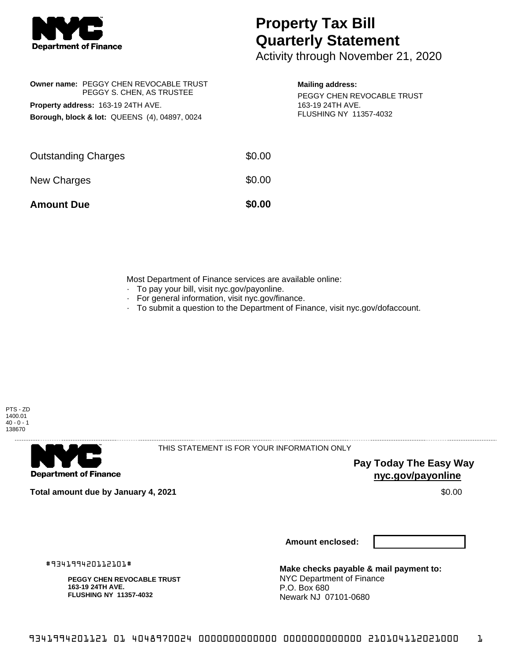

## **Property Tax Bill Quarterly Statement**

Activity through November 21, 2020

|                                                          | Owner name: PEGGY CHEN REVOCABLE TRUST<br>PEGGY S. CHEN, AS TRUSTEE |  |  |  |
|----------------------------------------------------------|---------------------------------------------------------------------|--|--|--|
| Property address: 163-19 24TH AVE.                       |                                                                     |  |  |  |
| <b>Borough, block &amp; lot: QUEENS (4), 04897, 0024</b> |                                                                     |  |  |  |

## **Mailing address:**

PEGGY CHEN REVOCABLE TRUST 163-19 24TH AVE. FLUSHING NY 11357-4032

| <b>Amount Due</b>          | \$0.00 |
|----------------------------|--------|
| New Charges                | \$0.00 |
| <b>Outstanding Charges</b> | \$0.00 |

Most Department of Finance services are available online:

- · To pay your bill, visit nyc.gov/payonline.
- For general information, visit nyc.gov/finance.
- · To submit a question to the Department of Finance, visit nyc.gov/dofaccount.





THIS STATEMENT IS FOR YOUR INFORMATION ONLY

**Pay Today The Easy Way nyc.gov/payonline**

**Total amount due by January 4, 2021** \$0.00

**Amount enclosed:**

#934199420112101#

**PEGGY CHEN REVOCABLE TRUST 163-19 24TH AVE. FLUSHING NY 11357-4032**

**Make checks payable & mail payment to:** NYC Department of Finance P.O. Box 680 Newark NJ 07101-0680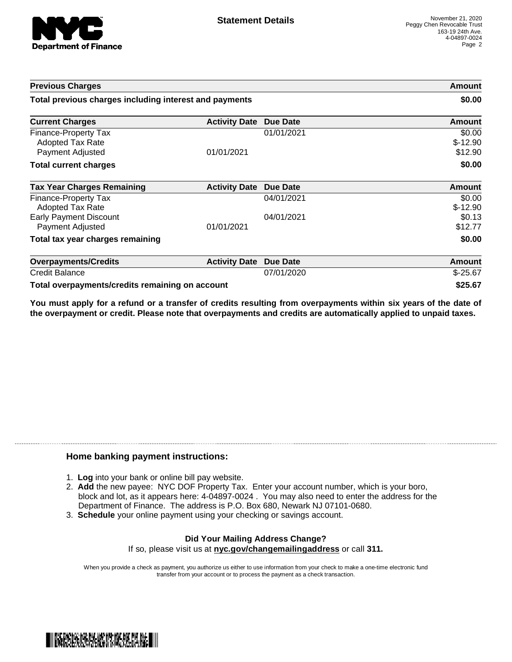

| <b>Previous Charges</b><br>Total previous charges including interest and payments |                      |                 | Amount<br>\$0.00               |
|-----------------------------------------------------------------------------------|----------------------|-----------------|--------------------------------|
|                                                                                   |                      |                 |                                |
| Finance-Property Tax<br><b>Adopted Tax Rate</b><br>Payment Adjusted               | 01/01/2021           | 01/01/2021      | \$0.00<br>$$-12.90$<br>\$12.90 |
| <b>Total current charges</b>                                                      |                      |                 | \$0.00                         |
| <b>Tax Year Charges Remaining</b>                                                 | <b>Activity Date</b> | <b>Due Date</b> | <b>Amount</b>                  |
| Finance-Property Tax<br><b>Adopted Tax Rate</b>                                   |                      | 04/01/2021      | \$0.00<br>$$-12.90$            |
| <b>Early Payment Discount</b><br>Payment Adjusted                                 | 01/01/2021           | 04/01/2021      | \$0.13<br>\$12.77              |
| Total tax year charges remaining                                                  |                      |                 | \$0.00                         |
| <b>Overpayments/Credits</b>                                                       | <b>Activity Date</b> | <b>Due Date</b> | Amount                         |
| <b>Credit Balance</b>                                                             |                      | 07/01/2020      | $$-25.67$                      |
| Total overpayments/credits remaining on account                                   |                      |                 | \$25.67                        |

You must apply for a refund or a transfer of credits resulting from overpayments within six years of the date of **the overpayment or credit. Please note that overpayments and credits are automatically applied to unpaid taxes.**

## **Home banking payment instructions:**

- 1. **Log** into your bank or online bill pay website.
- 2. **Add** the new payee: NYC DOF Property Tax. Enter your account number, which is your boro, block and lot, as it appears here: 4-04897-0024 . You may also need to enter the address for the Department of Finance. The address is P.O. Box 680, Newark NJ 07101-0680.
- 3. **Schedule** your online payment using your checking or savings account.

## **Did Your Mailing Address Change?** If so, please visit us at **nyc.gov/changemailingaddress** or call **311.**

When you provide a check as payment, you authorize us either to use information from your check to make a one-time electronic fund transfer from your account or to process the payment as a check transaction.